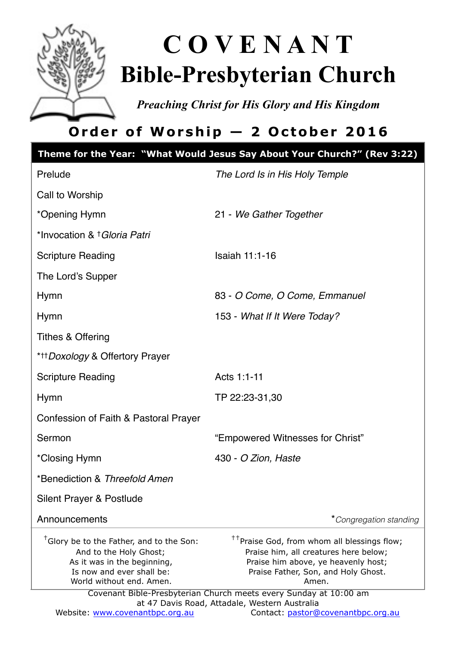

# **C O V E N A N T Bible-Presbyterian Church**

*Preaching Christ for His Glory and His Kingdom* 

# **Order of Worship — 2 October 2016**

|                                                                                                                                                                        | Theme for the Year: "What Would Jesus Say About Your Church?" (Rev 3:22)                                                                                                                                                                                                                                      |
|------------------------------------------------------------------------------------------------------------------------------------------------------------------------|---------------------------------------------------------------------------------------------------------------------------------------------------------------------------------------------------------------------------------------------------------------------------------------------------------------|
| Prelude                                                                                                                                                                | The Lord Is in His Holy Temple                                                                                                                                                                                                                                                                                |
| Call to Worship                                                                                                                                                        |                                                                                                                                                                                                                                                                                                               |
| *Opening Hymn                                                                                                                                                          | 21 - We Gather Together                                                                                                                                                                                                                                                                                       |
| *Invocation & † Gloria Patri                                                                                                                                           |                                                                                                                                                                                                                                                                                                               |
| Scripture Reading                                                                                                                                                      | Isaiah 11:1-16                                                                                                                                                                                                                                                                                                |
| The Lord's Supper                                                                                                                                                      |                                                                                                                                                                                                                                                                                                               |
| Hymn                                                                                                                                                                   | 83 - O Come, O Come, Emmanuel                                                                                                                                                                                                                                                                                 |
| Hymn                                                                                                                                                                   | 153 - What If It Were Today?                                                                                                                                                                                                                                                                                  |
| Tithes & Offering                                                                                                                                                      |                                                                                                                                                                                                                                                                                                               |
| * <sup>††</sup> Doxology & Offertory Prayer                                                                                                                            |                                                                                                                                                                                                                                                                                                               |
| <b>Scripture Reading</b>                                                                                                                                               | Acts 1:1-11                                                                                                                                                                                                                                                                                                   |
| Hymn                                                                                                                                                                   | TP 22:23-31,30                                                                                                                                                                                                                                                                                                |
| Confession of Faith & Pastoral Prayer                                                                                                                                  |                                                                                                                                                                                                                                                                                                               |
| Sermon                                                                                                                                                                 | "Empowered Witnesses for Christ"                                                                                                                                                                                                                                                                              |
| *Closing Hymn                                                                                                                                                          | 430 - O Zion, Haste                                                                                                                                                                                                                                                                                           |
| *Benediction & Threefold Amen                                                                                                                                          |                                                                                                                                                                                                                                                                                                               |
| Silent Prayer & Postlude                                                                                                                                               |                                                                                                                                                                                                                                                                                                               |
| Announcements                                                                                                                                                          | *Congregation standing                                                                                                                                                                                                                                                                                        |
| <sup>†</sup> Glory be to the Father, and to the Son:<br>And to the Holy Ghost;<br>As it was in the beginning,<br>Is now and ever shall be:<br>World without end. Amen. | <sup>††</sup> Praise God, from whom all blessings flow;<br>Praise him, all creatures here below;<br>Praise him above, ye heavenly host;<br>Praise Father, Son, and Holy Ghost.<br>Amen.<br>Covenant Bible-Presbyterian Church meets every Sunday at 10:00 am<br>at 47 Davis Road, Attadale, Western Australia |
| Website: www.covenantbpc.org.au                                                                                                                                        | Contact: pastor@covenantbpc.org.au                                                                                                                                                                                                                                                                            |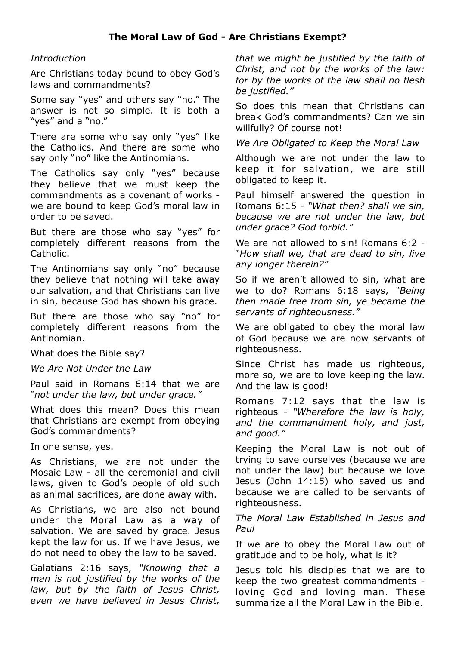#### *Introduction*

Are Christians today bound to obey God's laws and commandments?

Some say "yes" and others say "no." The answer is not so simple. It is both a "yes" and a "no."

There are some who say only "yes" like the Catholics. And there are some who say only "no" like the Antinomians.

The Catholics say only "yes" because they believe that we must keep the commandments as a covenant of works we are bound to keep God's moral law in order to be saved.

But there are those who say "yes" for completely different reasons from the Catholic.

The Antinomians say only "no" because they believe that nothing will take away our salvation, and that Christians can live in sin, because God has shown his grace.

But there are those who say "no" for completely different reasons from the Antinomian.

What does the Bible say?

*We Are Not Under the Law* 

Paul said in Romans 6:14 that we are *"not under the law, but under grace."*

What does this mean? Does this mean that Christians are exempt from obeying God's commandments?

In one sense, yes.

As Christians, we are not under the Mosaic Law - all the ceremonial and civil laws, given to God's people of old such as animal sacrifices, are done away with.

As Christians, we are also not bound under the Moral Law as a way of salvation. We are saved by grace. Jesus kept the law for us. If we have Jesus, we do not need to obey the law to be saved.

Galatians 2:16 says, *"Knowing that a man is not justified by the works of the law, but by the faith of Jesus Christ, even we have believed in Jesus Christ,* 

*that we might be justified by the faith of Christ, and not by the works of the law: for by the works of the law shall no flesh be justified."*

So does this mean that Christians can break God's commandments? Can we sin willfully? Of course not!

*We Are Obligated to Keep the Moral Law* 

Although we are not under the law to keep it for salvation, we are still obligated to keep it.

Paul himself answered the question in Romans 6:15 - *"What then? shall we sin, because we are not under the law, but under grace? God forbid."* 

We are not allowed to sin! Romans 6:2 -*"How shall we, that are dead to sin, live any longer therein?"*

So if we aren't allowed to sin, what are we to do? Romans 6:18 says, *"Being then made free from sin, ye became the servants of righteousness."*

We are obligated to obey the moral law of God because we are now servants of righteousness.

Since Christ has made us righteous, more so, we are to love keeping the law. And the law is good!

Romans 7:12 says that the law is righteous - *"Wherefore the law is holy, and the commandment holy, and just, and good."*

Keeping the Moral Law is not out of trying to save ourselves (because we are not under the law) but because we love Jesus (John 14:15) who saved us and because we are called to be servants of righteousness.

*The Moral Law Established in Jesus and Paul* 

If we are to obey the Moral Law out of gratitude and to be holy, what is it?

Jesus told his disciples that we are to keep the two greatest commandments loving God and loving man. These summarize all the Moral Law in the Bible.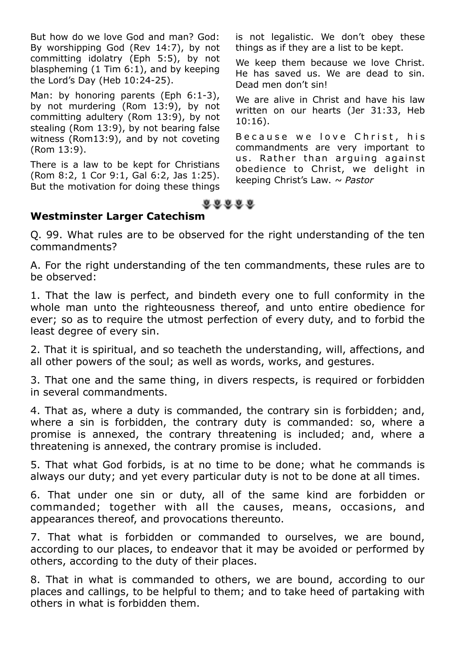But how do we love God and man? God: By worshipping God (Rev 14:7), by not committing idolatry (Eph 5:5), by not blaspheming (1 Tim 6:1), and by keeping the Lord's Day (Heb 10:24-25).

Man: by honoring parents (Eph 6:1-3), by not murdering (Rom 13:9), by not committing adultery (Rom 13:9), by not stealing (Rom 13:9), by not bearing false witness (Rom13:9), and by not coveting (Rom 13:9).

There is a law to be kept for Christians (Rom 8:2, 1 Cor 9:1, Gal 6:2, Jas 1:25). But the motivation for doing these things

is not legalistic. We don't obey these things as if they are a list to be kept.

We keep them because we love Christ. He has saved us. We are dead to sin. Dead men don't sin!

We are alive in Christ and have his law written on our hearts (Jer 31:33, Heb 10:16).

Because we love Christ, his commandments are very important to us. Rather than arquing against obedience to Christ, we delight in keeping Christ's Law. *~ Pastor*



#### **Westminster Larger Catechism**

Q. 99. What rules are to be observed for the right understanding of the ten commandments?

A. For the right understanding of the ten commandments, these rules are to be observed:

1. That the law is perfect, and bindeth every one to full conformity in the whole man unto the righteousness thereof, and unto entire obedience for ever; so as to require the utmost perfection of every duty, and to forbid the least degree of every sin.

2. That it is spiritual, and so teacheth the understanding, will, affections, and all other powers of the soul; as well as words, works, and gestures.

3. That one and the same thing, in divers respects, is required or forbidden in several commandments.

4. That as, where a duty is commanded, the contrary sin is forbidden; and, where a sin is forbidden, the contrary duty is commanded: so, where a promise is annexed, the contrary threatening is included; and, where a threatening is annexed, the contrary promise is included.

5. That what God forbids, is at no time to be done; what he commands is always our duty; and yet every particular duty is not to be done at all times.

6. That under one sin or duty, all of the same kind are forbidden or commanded; together with all the causes, means, occasions, and appearances thereof, and provocations thereunto.

7. That what is forbidden or commanded to ourselves, we are bound, according to our places, to endeavor that it may be avoided or performed by others, according to the duty of their places.

8. That in what is commanded to others, we are bound, according to our places and callings, to be helpful to them; and to take heed of partaking with others in what is forbidden them.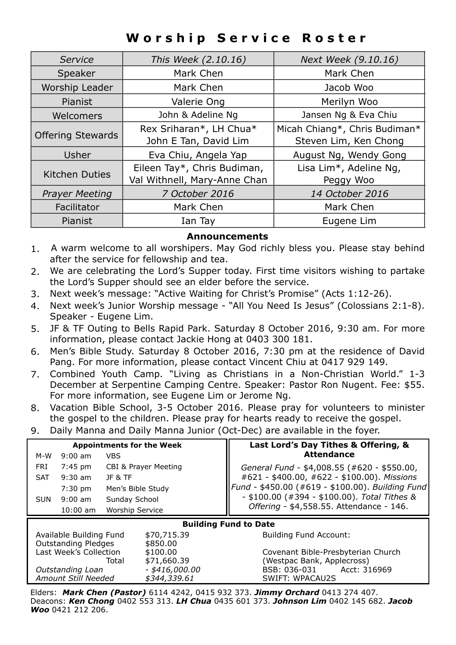### **Worship Service Roster**

| Service                  | This Week (2.10.16)                                         | Next Week (9.10.16)                                    |
|--------------------------|-------------------------------------------------------------|--------------------------------------------------------|
| Speaker                  | Mark Chen                                                   | Mark Chen                                              |
| Worship Leader           | Mark Chen                                                   | Jacob Woo                                              |
| Pianist                  | Valerie Ong                                                 | Merilyn Woo                                            |
| Welcomers                | John & Adeline Ng                                           | Jansen Ng & Eva Chiu                                   |
| <b>Offering Stewards</b> | Rex Sriharan*, LH Chua*<br>John E Tan, David Lim            | Micah Chiang*, Chris Budiman*<br>Steven Lim, Ken Chong |
| Usher                    | Eva Chiu, Angela Yap                                        | August Ng, Wendy Gong                                  |
| <b>Kitchen Duties</b>    | Eileen Tay*, Chris Budiman,<br>Val Withnell, Mary-Anne Chan | Lisa Lim*, Adeline Ng,<br>Peggy Woo                    |
| <b>Prayer Meeting</b>    | 7 October 2016                                              | 14 October 2016                                        |
| Facilitator              | Mark Chen                                                   | Mark Chen                                              |
| Pianist                  | Ian Tay                                                     | Eugene Lim                                             |

#### **Announcements**

- 1. A warm welcome to all worshipers. May God richly bless you. Please stay behind after the service for fellowship and tea.
- 2. We are celebrating the Lord's Supper today. First time visitors wishing to partake the Lord's Supper should see an elder before the service.
- 3. Next week's message: "Active Waiting for Christ's Promise" (Acts 1:12-26).
- 4. Next week's Junior Worship message "All You Need Is Jesus" (Colossians 2:1-8). Speaker - Eugene Lim.
- 5. JF & TF Outing to Bells Rapid Park. Saturday 8 October 2016, 9:30 am. For more information, please contact Jackie Hong at 0403 300 181.
- 6. Men's Bible Study. Saturday 8 October 2016, 7:30 pm at the residence of David Pang. For more information, please contact Vincent Chiu at 0417 929 149.
- 7. Combined Youth Camp. "Living as Christians in a Non-Christian World." 1-3 December at Serpentine Camping Centre. Speaker: Pastor Ron Nugent. Fee: \$55. For more information, see Eugene Lim or Jerome Ng.
- 8. Vacation Bible School, 3-5 October 2016. Please pray for volunteers to minister the gospel to the children. Please pray for hearts ready to receive the gospel.
- 9. Daily Manna and Daily Manna Junior (Oct-Dec) are available in the foyer.

| <b>Appointments for the Week</b> |                                 | Last Lord's Day Tithes & Offering, &             |  |  |
|----------------------------------|---------------------------------|--------------------------------------------------|--|--|
| $9:00$ am<br>M-W                 | <b>VBS</b>                      | <b>Attendance</b>                                |  |  |
| <b>FRI</b><br>7:45 pm            | <b>CBI &amp; Prayer Meeting</b> | General Fund - \$4,008.55 (#620 - \$550.00,      |  |  |
| $9:30$ am<br><b>SAT</b>          | JF&TF                           | #621 - \$400.00, #622 - \$100.00). Missions      |  |  |
| $7:30$ pm                        | Men's Bible Study               | Fund - \$450.00 (#619 - \$100.00). Building Fund |  |  |
| $9:00 \text{ am}$<br><b>SUN</b>  | Sunday School                   | $-$ \$100.00 (#394 - \$100.00). Total Tithes &   |  |  |
| $10:00$ am                       | <b>Worship Service</b>          | Offering - \$4,558.55. Attendance - 146.         |  |  |
| <b>Building Fund to Date</b>     |                                 |                                                  |  |  |
| Available Building Fund          | \$70,715.39                     | <b>Building Fund Account:</b>                    |  |  |
| <b>Outstanding Pledges</b>       | \$850.00                        |                                                  |  |  |
| Last Week's Collection           | \$100.00                        | Covenant Bible-Presbyterian Church               |  |  |
|                                  | \$71,660.39<br>Total            | (Westpac Bank, Applecross)                       |  |  |
| Outstanding Loan                 | $-$ \$416,000.00                | BSB: 036-031<br>Acct: 316969                     |  |  |
| Amount Still Needed              | \$344,339.61                    | <b>SWIFT: WPACAU2S</b>                           |  |  |
|                                  |                                 |                                                  |  |  |

Elders: *Mark Chen (Pastor)* 6114 4242, 0415 932 373. *Jimmy Orchard* 0413 274 407. Deacons: *Ken Chong* 0402 553 313. *LH Chua* 0435 601 373. *Johnson Lim* 0402 145 682. *Jacob Woo* 0421 212 206.